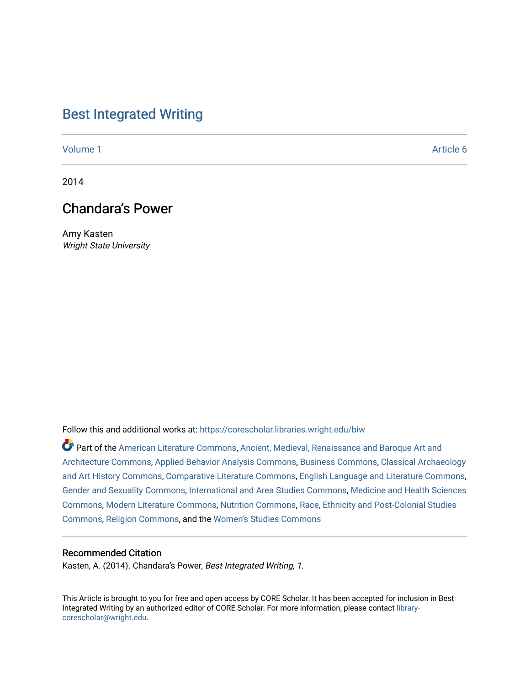### [Best Integrated Writing](https://corescholar.libraries.wright.edu/biw)

[Volume 1](https://corescholar.libraries.wright.edu/biw/vol1) Article 6

2014

## Chandara's Power

Amy Kasten Wright State University

Follow this and additional works at: [https://corescholar.libraries.wright.edu/biw](https://corescholar.libraries.wright.edu/biw?utm_source=corescholar.libraries.wright.edu%2Fbiw%2Fvol1%2Fiss1%2F6&utm_medium=PDF&utm_campaign=PDFCoverPages)

Part of the [American Literature Commons](http://network.bepress.com/hgg/discipline/441?utm_source=corescholar.libraries.wright.edu%2Fbiw%2Fvol1%2Fiss1%2F6&utm_medium=PDF&utm_campaign=PDFCoverPages), Ancient, Medieval, Renaissance and Baroque Art and [Architecture Commons,](http://network.bepress.com/hgg/discipline/512?utm_source=corescholar.libraries.wright.edu%2Fbiw%2Fvol1%2Fiss1%2F6&utm_medium=PDF&utm_campaign=PDFCoverPages) [Applied Behavior Analysis Commons](http://network.bepress.com/hgg/discipline/1235?utm_source=corescholar.libraries.wright.edu%2Fbiw%2Fvol1%2Fiss1%2F6&utm_medium=PDF&utm_campaign=PDFCoverPages), [Business Commons,](http://network.bepress.com/hgg/discipline/622?utm_source=corescholar.libraries.wright.edu%2Fbiw%2Fvol1%2Fiss1%2F6&utm_medium=PDF&utm_campaign=PDFCoverPages) [Classical Archaeology](http://network.bepress.com/hgg/discipline/450?utm_source=corescholar.libraries.wright.edu%2Fbiw%2Fvol1%2Fiss1%2F6&utm_medium=PDF&utm_campaign=PDFCoverPages) [and Art History Commons](http://network.bepress.com/hgg/discipline/450?utm_source=corescholar.libraries.wright.edu%2Fbiw%2Fvol1%2Fiss1%2F6&utm_medium=PDF&utm_campaign=PDFCoverPages), [Comparative Literature Commons,](http://network.bepress.com/hgg/discipline/454?utm_source=corescholar.libraries.wright.edu%2Fbiw%2Fvol1%2Fiss1%2F6&utm_medium=PDF&utm_campaign=PDFCoverPages) [English Language and Literature Commons](http://network.bepress.com/hgg/discipline/455?utm_source=corescholar.libraries.wright.edu%2Fbiw%2Fvol1%2Fiss1%2F6&utm_medium=PDF&utm_campaign=PDFCoverPages), [Gender and Sexuality Commons](http://network.bepress.com/hgg/discipline/420?utm_source=corescholar.libraries.wright.edu%2Fbiw%2Fvol1%2Fiss1%2F6&utm_medium=PDF&utm_campaign=PDFCoverPages), [International and Area Studies Commons,](http://network.bepress.com/hgg/discipline/360?utm_source=corescholar.libraries.wright.edu%2Fbiw%2Fvol1%2Fiss1%2F6&utm_medium=PDF&utm_campaign=PDFCoverPages) [Medicine and Health Sciences](http://network.bepress.com/hgg/discipline/648?utm_source=corescholar.libraries.wright.edu%2Fbiw%2Fvol1%2Fiss1%2F6&utm_medium=PDF&utm_campaign=PDFCoverPages)  [Commons](http://network.bepress.com/hgg/discipline/648?utm_source=corescholar.libraries.wright.edu%2Fbiw%2Fvol1%2Fiss1%2F6&utm_medium=PDF&utm_campaign=PDFCoverPages), [Modern Literature Commons](http://network.bepress.com/hgg/discipline/1050?utm_source=corescholar.libraries.wright.edu%2Fbiw%2Fvol1%2Fiss1%2F6&utm_medium=PDF&utm_campaign=PDFCoverPages), [Nutrition Commons,](http://network.bepress.com/hgg/discipline/95?utm_source=corescholar.libraries.wright.edu%2Fbiw%2Fvol1%2Fiss1%2F6&utm_medium=PDF&utm_campaign=PDFCoverPages) [Race, Ethnicity and Post-Colonial Studies](http://network.bepress.com/hgg/discipline/566?utm_source=corescholar.libraries.wright.edu%2Fbiw%2Fvol1%2Fiss1%2F6&utm_medium=PDF&utm_campaign=PDFCoverPages)  [Commons](http://network.bepress.com/hgg/discipline/566?utm_source=corescholar.libraries.wright.edu%2Fbiw%2Fvol1%2Fiss1%2F6&utm_medium=PDF&utm_campaign=PDFCoverPages), [Religion Commons,](http://network.bepress.com/hgg/discipline/538?utm_source=corescholar.libraries.wright.edu%2Fbiw%2Fvol1%2Fiss1%2F6&utm_medium=PDF&utm_campaign=PDFCoverPages) and the [Women's Studies Commons](http://network.bepress.com/hgg/discipline/561?utm_source=corescholar.libraries.wright.edu%2Fbiw%2Fvol1%2Fiss1%2F6&utm_medium=PDF&utm_campaign=PDFCoverPages) 

#### Recommended Citation

Kasten, A. (2014). Chandara's Power, Best Integrated Writing, 1.

This Article is brought to you for free and open access by CORE Scholar. It has been accepted for inclusion in Best Integrated Writing by an authorized editor of CORE Scholar. For more information, please contact [library](mailto:library-corescholar@wright.edu)[corescholar@wright.edu](mailto:library-corescholar@wright.edu).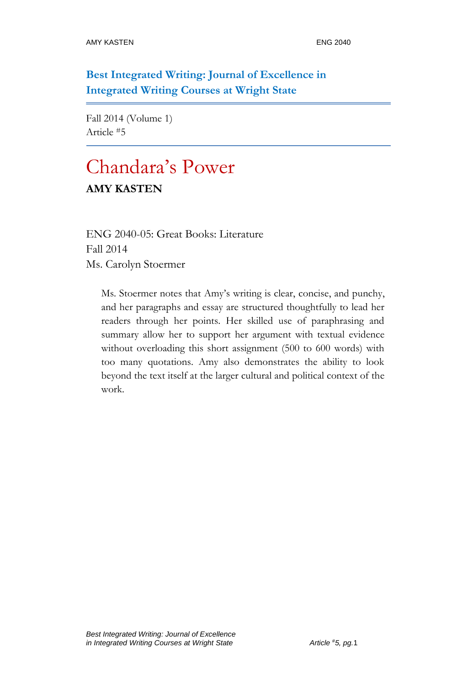**Best Integrated Writing: Journal of Excellence in Integrated Writing Courses at Wright State**

Fall 2014 (Volume 1) Article #5

# Chandara's Power

#### **AMY KASTEN**

ENG 2040-05: Great Books: Literature Fall 2014 Ms. Carolyn Stoermer

Ms. Stoermer notes that Amy's writing is clear, concise, and punchy, and her paragraphs and essay are structured thoughtfully to lead her readers through her points. Her skilled use of paraphrasing and summary allow her to support her argument with textual evidence without overloading this short assignment (500 to 600 words) with too many quotations. Amy also demonstrates the ability to look beyond the text itself at the larger cultural and political context of the work.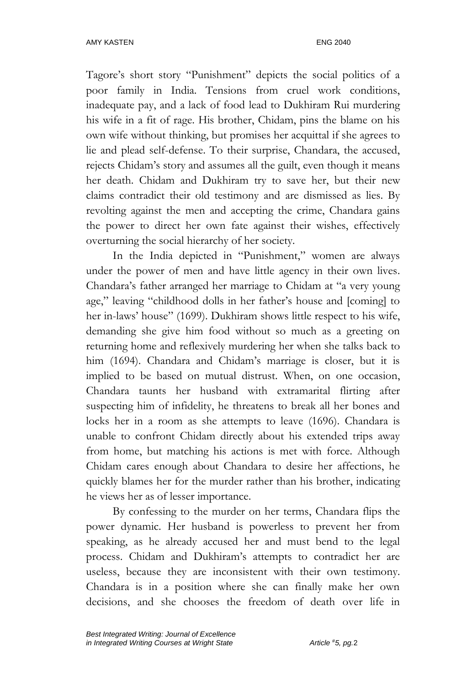Tagore's short story "Punishment" depicts the social politics of a poor family in India. Tensions from cruel work conditions, inadequate pay, and a lack of food lead to Dukhiram Rui murdering his wife in a fit of rage. His brother, Chidam, pins the blame on his own wife without thinking, but promises her acquittal if she agrees to lie and plead self-defense. To their surprise, Chandara, the accused, rejects Chidam's story and assumes all the guilt, even though it means her death. Chidam and Dukhiram try to save her, but their new claims contradict their old testimony and are dismissed as lies. By revolting against the men and accepting the crime, Chandara gains the power to direct her own fate against their wishes, effectively overturning the social hierarchy of her society.

In the India depicted in "Punishment," women are always under the power of men and have little agency in their own lives. Chandara's father arranged her marriage to Chidam at "a very young age," leaving "childhood dolls in her father's house and [coming] to her in-laws' house" (1699). Dukhiram shows little respect to his wife, demanding she give him food without so much as a greeting on returning home and reflexively murdering her when she talks back to him (1694). Chandara and Chidam's marriage is closer, but it is implied to be based on mutual distrust. When, on one occasion, Chandara taunts her husband with extramarital flirting after suspecting him of infidelity, he threatens to break all her bones and locks her in a room as she attempts to leave (1696). Chandara is unable to confront Chidam directly about his extended trips away from home, but matching his actions is met with force. Although Chidam cares enough about Chandara to desire her affections, he quickly blames her for the murder rather than his brother, indicating he views her as of lesser importance.

By confessing to the murder on her terms, Chandara flips the power dynamic. Her husband is powerless to prevent her from speaking, as he already accused her and must bend to the legal process. Chidam and Dukhiram's attempts to contradict her are useless, because they are inconsistent with their own testimony. Chandara is in a position where she can finally make her own decisions, and she chooses the freedom of death over life in